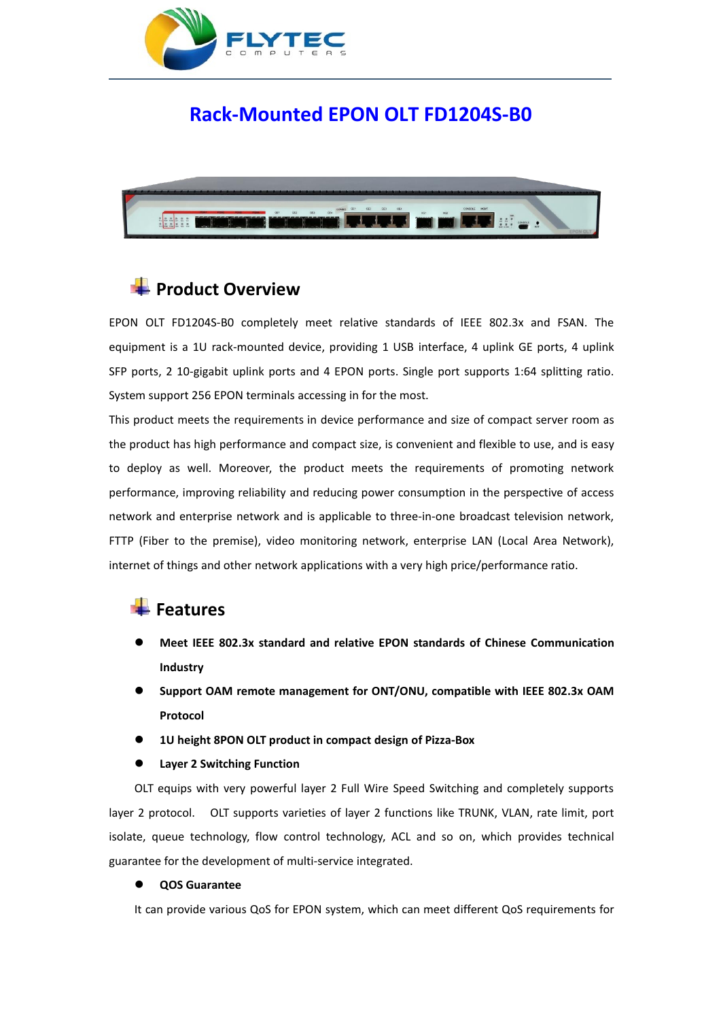

## **Rack-Mounted EPON OLT FD1204S-B0**



### **Product Overview**

EPON OLT FD1204S-B0 completely meet relative standards of IEEE 802.3x and FSAN. The equipment is a 1U rack-mounted device, providing 1 USB interface, 4 uplink GE ports, 4 uplink SFP ports, 2 10-gigabit uplink ports and 4 EPON ports. Single port supports 1:64 splitting ratio. System support 256 EPON terminals accessing in for the most.

This product meets the requirements in device performance and size of compact server room as the product has high performance and compact size, is convenient and flexible to use, and is easy to deploy as well. Moreover, the product meets the requirements of promoting network performance, improving reliability and reducing power consumption in the perspective of access network and enterprise network and is applicable to three-in-one broadcast television network, FTTP (Fiber to the premise), video monitoring network, enterprise LAN (Local Area Network), internet of things and other network applications with a very high price/performance ratio.

### **Features**

- **Meet IEEE 802.3x standard and relative EPON standards of Chinese Communication Industry**
- **Support OAM remote management for ONT/ONU, compatible with IEEE 802.3x OAM Protocol**
- **1U height 8PON OLT product in compact design of Pizza-Box**

### **Layer 2 Switching Function**

OLT equips with very powerful layer 2 Full Wire Speed Switching and completely supports layer 2 protocol. OLT supports varieties of layer 2 functions like TRUNK, VLAN, rate limit, port isolate, queue technology, flow control technology, ACL and so on, which provides technical guarantee for the development of multi-service integrated.

### **QOS Guarantee**

It can provide various QoS for EPON system, which can meet different QoS requirements for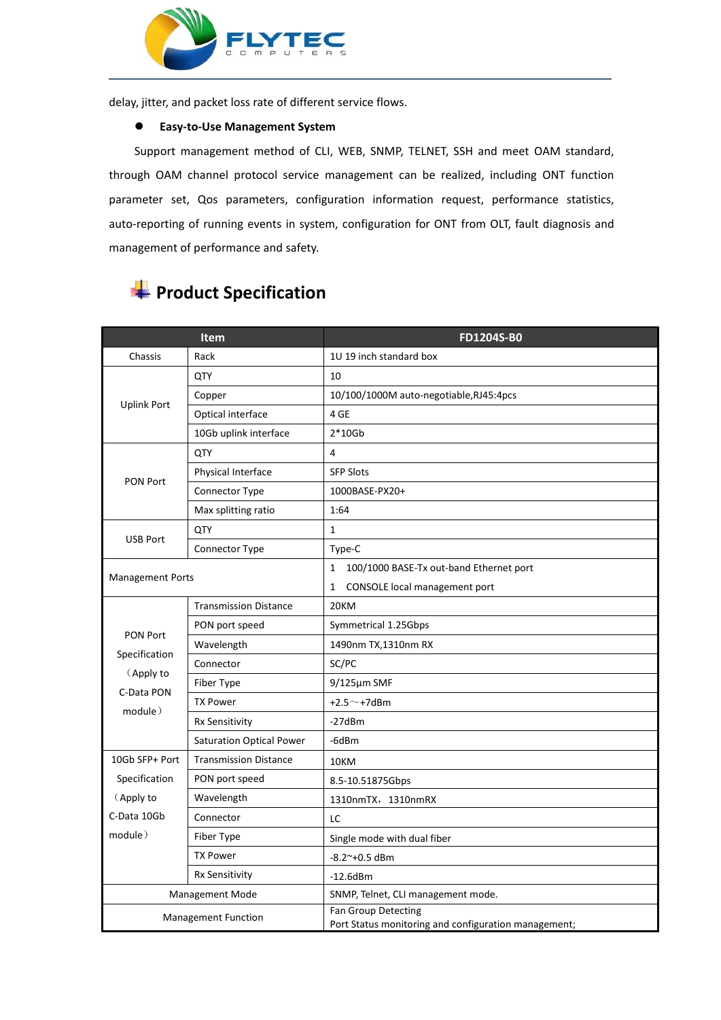

through OAM channel protocol service management can be realized, including ONT function parameter set, Qos parameters, configuration information request, performance statistics, auto-reporting of running events in system, configuration for ONT from OLT, fault diagnosis and management of performance and safety. FACT FOR SULTERS<br>
THE CRIP OF THE REST OF THE REST OF THE REST OF THE REST OF THE SUPPORT MANAgement System<br>
Support management method of CLI, WEB, SNMP, TELNET, SSH and meet<br>
ugh OAM channel protocol service management ca Support management method of CLI, WEB, SNMP, TELNET, SSH and meet OAM standard,<br>Support management method of CLI, WEB, SNMP, TELNET, SSH and meet OAM standard,<br>Jugh OAM channel protocol service management can be realized,

|                                                     | Item                            | FD1204S-B0                                              |
|-----------------------------------------------------|---------------------------------|---------------------------------------------------------|
| Chassis                                             | Rack                            | 1U 19 inch standard box                                 |
| <b>Uplink Port</b>                                  | QTY                             | 10                                                      |
|                                                     | Copper                          | 10/100/1000M auto-negotiable, RJ45:4pcs                 |
|                                                     | Optical interface               | 4 GE                                                    |
|                                                     | 10Gb uplink interface           | $2*10Gb$                                                |
| <b>PON Port</b>                                     | QTY                             | 4                                                       |
|                                                     | Physical Interface              | <b>SFP Slots</b>                                        |
|                                                     | Connector Type                  | 1000BASE-PX20+                                          |
|                                                     | Max splitting ratio             | 1:64                                                    |
| <b>USB Port</b>                                     | <b>QTY</b>                      | $\mathbf{1}$                                            |
|                                                     | Connector Type                  | Type-C                                                  |
|                                                     |                                 | $\mathbf{1}$<br>100/1000 BASE-Tx out-band Ethernet port |
| <b>Management Ports</b>                             |                                 | CONSOLE local management port<br>$\mathbf{1}$           |
|                                                     | <b>Transmission Distance</b>    | 20KM                                                    |
|                                                     | PON port speed                  | Symmetrical 1.25Gbps                                    |
| PON Port                                            | Wavelength                      | 1490nm TX,1310nm RX                                     |
| Specification<br>(Apply to<br>C-Data PON<br>module) | Connector                       | SC/PC                                                   |
|                                                     | Fiber Type                      | $9/125 \mu m$ SMF                                       |
|                                                     | <b>TX Power</b>                 | $+2.5^{\sim}$ +7dBm                                     |
|                                                     | Rx Sensitivity                  | $-27dBm$                                                |
|                                                     | <b>Saturation Optical Power</b> | -6dBm                                                   |
| 10Gb SFP+ Port                                      | <b>Transmission Distance</b>    | 10KM                                                    |
| Specification                                       | PON port speed                  | 8.5-10.51875Gbps                                        |
| (Apply to                                           | Wavelength                      | 1310nmTX, 1310nmRX                                      |
| C-Data 10Gb                                         | Connector                       | LC                                                      |
| module)                                             | Fiber Type                      | Single mode with dual fiber                             |
|                                                     | <b>TX Power</b>                 | $-8.2^{\sim}+0.5$ dBm                                   |
|                                                     | Rx Sensitivity                  | $-12.6$ dBm                                             |

Management Mode SNMP, Telnet, CLI management mode.

Management Function | Fan Group Detecting<br>| Port Status monitoring and configuration management;

# **Product Specification**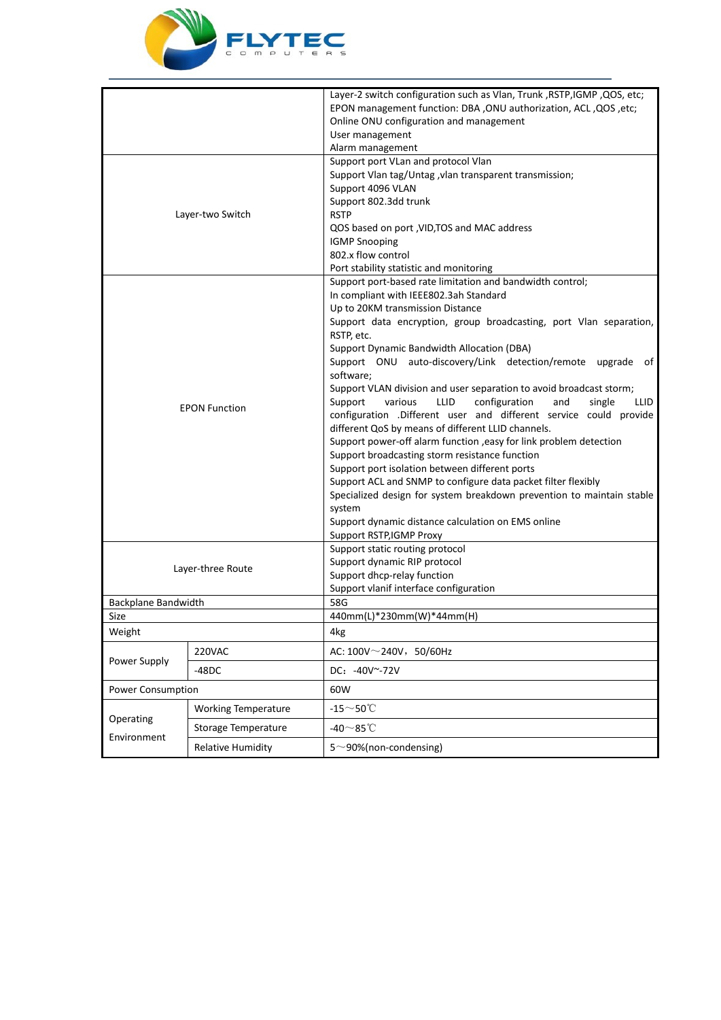

|                             |                            | Layer-2 switch configuration such as Vlan, Trunk , RSTP, IGMP , QOS, etc;<br>EPON management function: DBA , ONU authorization, ACL , QOS , etc;<br>Online ONU configuration and management                                                                            |
|-----------------------------|----------------------------|------------------------------------------------------------------------------------------------------------------------------------------------------------------------------------------------------------------------------------------------------------------------|
|                             |                            | User management                                                                                                                                                                                                                                                        |
|                             |                            | Alarm management                                                                                                                                                                                                                                                       |
| Layer-two Switch            |                            | Support port VLan and protocol Vlan<br>Support Vlan tag/Untag , vlan transparent transmission;<br>Support 4096 VLAN                                                                                                                                                    |
|                             |                            | Support 802.3dd trunk<br><b>RSTP</b>                                                                                                                                                                                                                                   |
|                             |                            | QOS based on port , VID, TOS and MAC address<br><b>IGMP Snooping</b><br>802.x flow control                                                                                                                                                                             |
|                             |                            | Port stability statistic and monitoring                                                                                                                                                                                                                                |
| <b>EPON Function</b>        |                            | Support port-based rate limitation and bandwidth control;<br>In compliant with IEEE802.3ah Standard<br>Up to 20KM transmission Distance                                                                                                                                |
|                             |                            | Support data encryption, group broadcasting, port Vlan separation,<br>RSTP, etc.<br>Support Dynamic Bandwidth Allocation (DBA)<br>Support ONU auto-discovery/Link detection/remote upgrade of<br>software;                                                             |
|                             |                            | Support VLAN division and user separation to avoid broadcast storm;<br>Support<br>various<br>LLID<br>configuration<br>single<br>and<br>LLID<br>configuration .Different user and different service could provide<br>different QoS by means of different LLID channels. |
|                             |                            | Support power-off alarm function , easy for link problem detection<br>Support broadcasting storm resistance function<br>Support port isolation between different ports                                                                                                 |
|                             |                            | Support ACL and SNMP to configure data packet filter flexibly<br>Specialized design for system breakdown prevention to maintain stable<br>system<br>Support dynamic distance calculation on EMS online<br>Support RSTP, IGMP Proxy                                     |
| Layer-three Route           |                            | Support static routing protocol<br>Support dynamic RIP protocol<br>Support dhcp-relay function                                                                                                                                                                         |
|                             |                            | Support vlanif interface configuration<br>58G                                                                                                                                                                                                                          |
| Backplane Bandwidth<br>Size |                            | 440mm(L)*230mm(W)*44mm(H)                                                                                                                                                                                                                                              |
| Weight                      |                            | 4kg                                                                                                                                                                                                                                                                    |
| Power Supply                | 220VAC                     | AC: $100V^{\sim}240V$ , 50/60Hz                                                                                                                                                                                                                                        |
|                             | $-48DC$                    | DC: -40V~-72V                                                                                                                                                                                                                                                          |
| Power Consumption           |                            | 60W                                                                                                                                                                                                                                                                    |
| Operating<br>Environment    | <b>Working Temperature</b> | $-15$ ~50℃                                                                                                                                                                                                                                                             |
|                             | Storage Temperature        | -40 $\sim$ 85 $\degree$ C                                                                                                                                                                                                                                              |
|                             | <b>Relative Humidity</b>   | $5^{\sim}$ 90%(non-condensing)                                                                                                                                                                                                                                         |